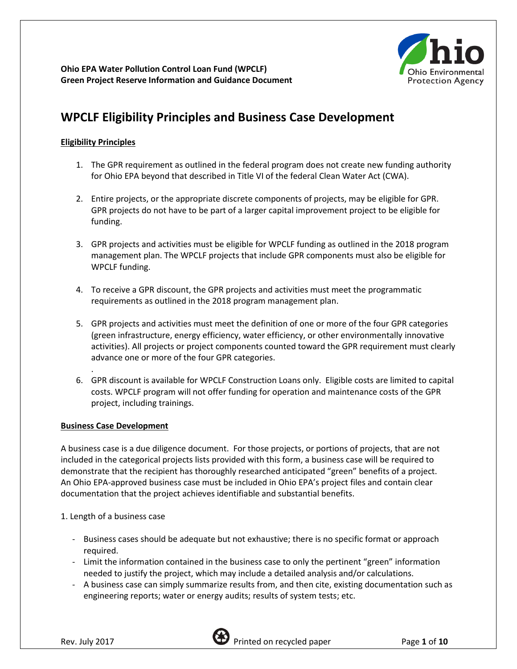

## **WPCLF Eligibility Principles and Business Case Development**

## **Eligibility Principles**

- 1. The GPR requirement as outlined in the federal program does not create new funding authority for Ohio EPA beyond that described in Title VI of the federal Clean Water Act (CWA).
- 2. Entire projects, or the appropriate discrete components of projects, may be eligible for GPR. GPR projects do not have to be part of a larger capital improvement project to be eligible for funding.
- 3. GPR projects and activities must be eligible for WPCLF funding as outlined in the 2018 program management plan. The WPCLF projects that include GPR components must also be eligible for WPCLF funding.
- 4. To receive a GPR discount, the GPR projects and activities must meet the programmatic requirements as outlined in the 2018 program management plan.
- 5. GPR projects and activities must meet the definition of one or more of the four GPR categories (green infrastructure, energy efficiency, water efficiency, or other environmentally innovative activities). All projects or project components counted toward the GPR requirement must clearly advance one or more of the four GPR categories.
- . 6. GPR discount is available for WPCLF Construction Loans only. Eligible costs are limited to capital costs. WPCLF program will not offer funding for operation and maintenance costs of the GPR project, including trainings.

## **Business Case Development**

A business case is a due diligence document. For those projects, or portions of projects, that are not included in the categorical projects lists provided with this form, a business case will be required to demonstrate that the recipient has thoroughly researched anticipated "green" benefits of a project. An Ohio EPA-approved business case must be included in Ohio EPA's project files and contain clear documentation that the project achieves identifiable and substantial benefits.

## 1. Length of a business case

- Business cases should be adequate but not exhaustive; there is no specific format or approach required.
- Limit the information contained in the business case to only the pertinent "green" information needed to justify the project, which may include a detailed analysis and/or calculations.
- A business case can simply summarize results from, and then cite, existing documentation such as engineering reports; water or energy audits; results of system tests; etc.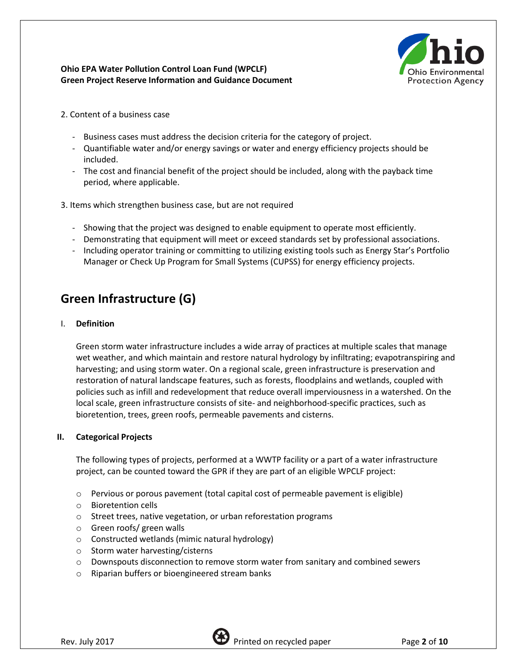

- 2. Content of a business case
	- Business cases must address the decision criteria for the category of project.
	- Quantifiable water and/or energy savings or water and energy efficiency projects should be included.
	- The cost and financial benefit of the project should be included, along with the payback time period, where applicable.
- 3. Items which strengthen business case, but are not required
	- Showing that the project was designed to enable equipment to operate most efficiently.
	- Demonstrating that equipment will meet or exceed standards set by professional associations.
	- Including operator training or committing to utilizing existing tools such as Energy Star's Portfolio Manager or Check Up Program for Small Systems (CUPSS) for energy efficiency projects.

## **Green Infrastructure (G)**

#### I. **Definition**

Green storm water infrastructure includes a wide array of practices at multiple scales that manage wet weather, and which maintain and restore natural hydrology by infiltrating; evapotranspiring and harvesting; and using storm water. On a regional scale, green infrastructure is preservation and restoration of natural landscape features, such as forests, floodplains and wetlands, coupled with policies such as infill and redevelopment that reduce overall imperviousness in a watershed. On the local scale, green infrastructure consists of site- and neighborhood-specific practices, such as bioretention, trees, green roofs, permeable pavements and cisterns.

#### **II. Categorical Projects**

The following types of projects, performed at a WWTP facility or a part of a water infrastructure project, can be counted toward the GPR if they are part of an eligible WPCLF project:

- o Pervious or porous pavement (total capital cost of permeable pavement is eligible)
- o Bioretention cells
- o Street trees, native vegetation, or urban reforestation programs
- o Green roofs/ green walls
- o Constructed wetlands (mimic natural hydrology)
- o Storm water harvesting/cisterns
- $\circ$  Downspouts disconnection to remove storm water from sanitary and combined sewers
- o Riparian buffers or bioengineered stream banks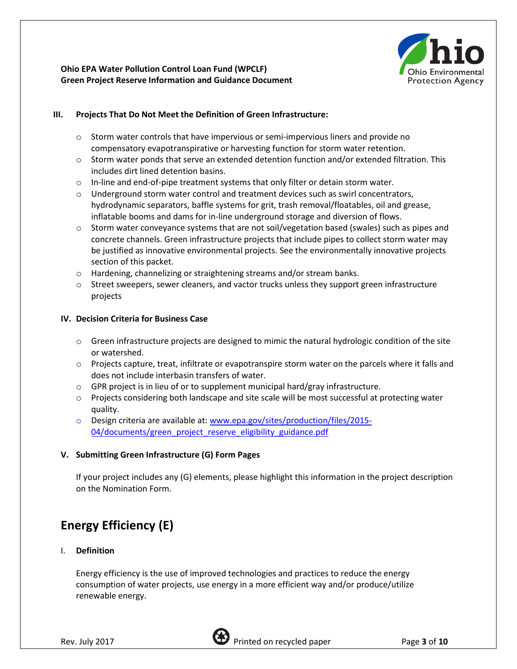

#### **III. Projects That Do Not Meet the Definition of Green Infrastructure:**

- $\circ$  Storm water controls that have impervious or semi-impervious liners and provide no compensatory evapotranspirative or harvesting function for storm water retention.
- $\circ$  Storm water ponds that serve an extended detention function and/or extended filtration. This includes dirt lined detention basins.
- $\circ$  In-line and end-of-pipe treatment systems that only filter or detain storm water.
- $\circ$  Underground storm water control and treatment devices such as swirl concentrators, hydrodynamic separators, baffle systems for grit, trash removal/floatables, oil and grease, inflatable booms and dams for in-line underground storage and diversion of flows.
- $\circ$  Storm water conveyance systems that are not soil/vegetation based (swales) such as pipes and concrete channels. Green infrastructure projects that include pipes to collect storm water may be justified as innovative environmental projects. See the environmentally innovative projects section of this packet.
- o Hardening, channelizing or straightening streams and/or stream banks.
- $\circ$  Street sweepers, sewer cleaners, and vactor trucks unless they support green infrastructure projects

#### **IV. Decision Criteria for Business Case**

- $\circ$  Green infrastructure projects are designed to mimic the natural hydrologic condition of the site or watershed.
- $\circ$  Projects capture, treat, infiltrate or evapotranspire storm water on the parcels where it falls and does not include interbasin transfers of water.
- $\circ$  GPR project is in lieu of or to supplement municipal hard/gray infrastructure.
- o Projects considering both landscape and site scale will be most successful at protecting water quality.
- o Design criteria are available at: [www.epa.gov/sites/production/files/2015-](http://www.epa.gov/sites/production/files/2015-04/documents/green_project_reserve_eligibility_guidance.pdf) [04/documents/green\\_project\\_reserve\\_eligibility\\_guidance.pdf](http://www.epa.gov/sites/production/files/2015-04/documents/green_project_reserve_eligibility_guidance.pdf)

## **V. Submitting Green Infrastructure (G) Form Pages**

If your project includes any (G) elements, please highlight this information in the project description on the Nomination Form.

# **Energy Efficiency (E)**

#### I. **Definition**

Energy efficiency is the use of improved technologies and practices to reduce the energy consumption of water projects, use energy in a more efficient way and/or produce/utilize renewable energy.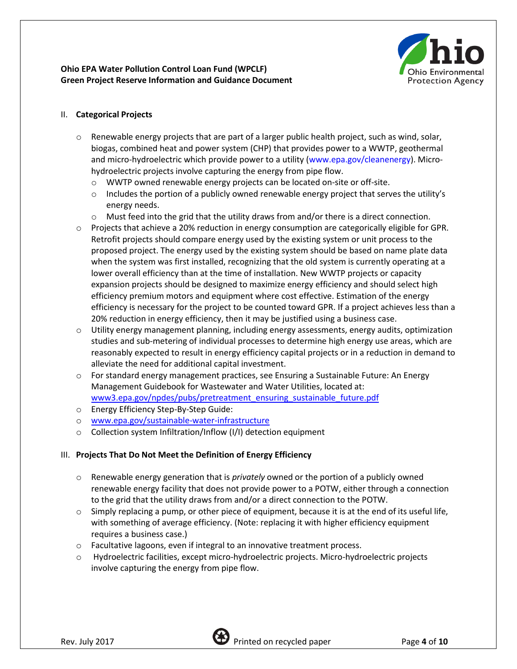

## II. **Categorical Projects**

- $\circ$  Renewable energy projects that are part of a larger public health project, such as wind, solar, biogas, combined heat and power system (CHP) that provides power to a WWTP, geothermal and micro-hydroelectric which provide power to a utility [\(www.epa.gov/cleanenergy\)](http://www.epa.gov/cleanenergy). Microhydroelectric projects involve capturing the energy from pipe flow.
	- o WWTP owned renewable energy projects can be located on-site or off-site.
	- $\circ$  Includes the portion of a publicly owned renewable energy project that serves the utility's energy needs.
	- $\circ$  Must feed into the grid that the utility draws from and/or there is a direct connection.
- $\circ$  Projects that achieve a 20% reduction in energy consumption are categorically eligible for GPR. Retrofit projects should compare energy used by the existing system or unit process to the proposed project. The energy used by the existing system should be based on name plate data when the system was first installed, recognizing that the old system is currently operating at a lower overall efficiency than at the time of installation. New WWTP projects or capacity expansion projects should be designed to maximize energy efficiency and should select high efficiency premium motors and equipment where cost effective. Estimation of the energy efficiency is necessary for the project to be counted toward GPR. If a project achieves less than a 20% reduction in energy efficiency, then it may be justified using a business case.
- o Utility energy management planning, including energy assessments, energy audits, optimization studies and sub-metering of individual processes to determine high energy use areas, which are reasonably expected to result in energy efficiency capital projects or in a reduction in demand to alleviate the need for additional capital investment.
- o For standard energy management practices, see Ensuring a Sustainable Future: An Energy Management Guidebook for Wastewater and Water Utilities, located at: [www3.epa.gov/npdes/pubs/pretreatment\\_ensuring\\_sustainable\\_future.pdf](https://www3.epa.gov/npdes/pubs/pretreatment_ensuring_sustainable_future.pdf)
- o Energy Efficiency Step-By-Step Guide:
- o [www.epa.gov/sustainable-water-infrastructure](http://www.epa.gov/sustainable-water-infrastructure)
- o Collection system Infiltration/Inflow (I/I) detection equipment

#### III. **Projects That Do Not Meet the Definition of Energy Efficiency**

- o Renewable energy generation that is *privately* owned or the portion of a publicly owned renewable energy facility that does not provide power to a POTW, either through a connection to the grid that the utility draws from and/or a direct connection to the POTW.
- $\circ$  Simply replacing a pump, or other piece of equipment, because it is at the end of its useful life, with something of average efficiency. (Note: replacing it with higher efficiency equipment requires a business case.)
- o Facultative lagoons, even if integral to an innovative treatment process.
- o Hydroelectric facilities, except micro-hydroelectric projects. Micro-hydroelectric projects involve capturing the energy from pipe flow.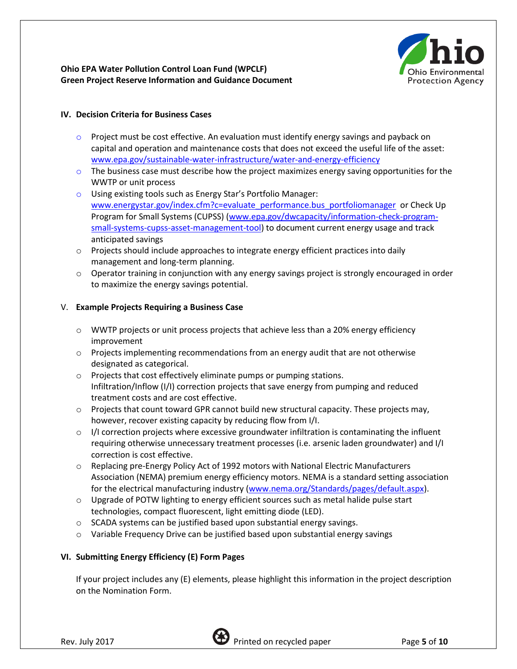

### **IV. Decision Criteria for Business Cases**

- $\circ$  Project must be cost effective. An evaluation must identify energy savings and payback on capital and operation and maintenance costs that does not exceed the useful life of the asset: [www.epa.gov/sustainable-water-infrastructure/water-and-energy-efficiency](http://www.epa.gov/sustainable-water-infrastructure/water-and-energy-efficiency)
- $\circ$  The business case must describe how the project maximizes energy saving opportunities for the WWTP or unit process
- o Using existing tools such as Energy Star's Portfolio Manager: [www.energystar.gov/index.cfm?c=evaluate\\_performance.bus\\_portfoliomanager](http://www.energystar.gov/index.cfm?c=evaluate_performance.bus_portfoliomanager) or Check Up Program for Small Systems (CUPSS) [\(www.epa.gov/dwcapacity/information-check-program](http://www.epa.gov/dwcapacity/information-check-program-small-systems-cupss-asset-management-tool)[small-systems-cupss-asset-management-tool\)](http://www.epa.gov/dwcapacity/information-check-program-small-systems-cupss-asset-management-tool) to document current energy usage and track anticipated savings
- o Projects should include approaches to integrate energy efficient practices into daily management and long-term planning.
- $\circ$  Operator training in conjunction with any energy savings project is strongly encouraged in order to maximize the energy savings potential.

#### V. **Example Projects Requiring a Business Case**

- o WWTP projects or unit process projects that achieve less than a 20% energy efficiency improvement
- $\circ$  Projects implementing recommendations from an energy audit that are not otherwise designated as categorical.
- o Projects that cost effectively eliminate pumps or pumping stations. Infiltration/Inflow (I/I) correction projects that save energy from pumping and reduced treatment costs and are cost effective.
- $\circ$  Projects that count toward GPR cannot build new structural capacity. These projects may, however, recover existing capacity by reducing flow from I/I.
- $\circ$  I/I correction projects where excessive groundwater infiltration is contaminating the influent requiring otherwise unnecessary treatment processes (i.e. arsenic laden groundwater) and I/I correction is cost effective.
- $\circ$  Replacing pre-Energy Policy Act of 1992 motors with National Electric Manufacturers Association (NEMA) premium energy efficiency motors. NEMA is a standard setting association for the electrical manufacturing industry [\(www.nema.org/Standards/pages/default.aspx\)](http://www.nema.org/Standards/pages/default.aspx).
- $\circ$  Upgrade of POTW lighting to energy efficient sources such as metal halide pulse start technologies, compact fluorescent, light emitting diode (LED).
- o SCADA systems can be justified based upon substantial energy savings.
- o Variable Frequency Drive can be justified based upon substantial energy savings

## **VI. Submitting Energy Efficiency (E) Form Pages**

If your project includes any (E) elements, please highlight this information in the project description on the Nomination Form.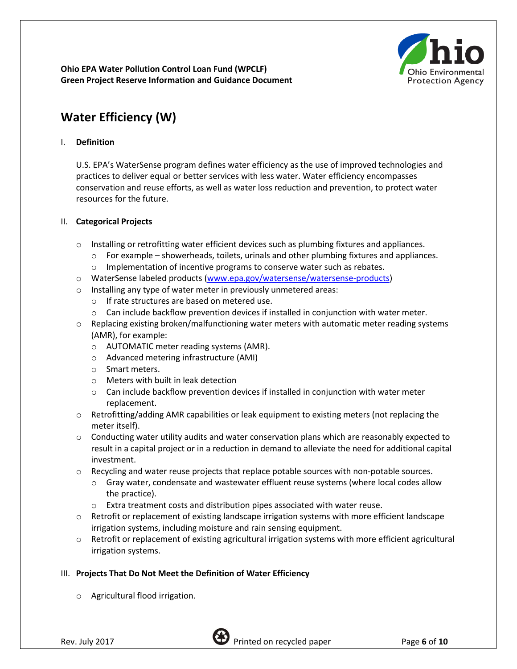

## **Water Efficiency (W)**

#### I. **Definition**

U.S. EPA's WaterSense program defines water efficiency as the use of improved technologies and practices to deliver equal or better services with less water. Water efficiency encompasses conservation and reuse efforts, as well as water loss reduction and prevention, to protect water resources for the future.

### II. **Categorical Projects**

- $\circ$  Installing or retrofitting water efficient devices such as plumbing fixtures and appliances.
	- o For example showerheads, toilets, urinals and other plumbing fixtures and appliances.
	- $\circ$  Implementation of incentive programs to conserve water such as rebates.
- o WaterSense labeled products [\(www.epa.gov/watersense/watersense-products\)](http://www.epa.gov/watersense/watersense-products)
- o Installing any type of water meter in previously unmetered areas:
	- o If rate structures are based on metered use.
	- $\circ$  Can include backflow prevention devices if installed in conjunction with water meter.
- $\circ$  Replacing existing broken/malfunctioning water meters with automatic meter reading systems (AMR), for example:
	- o AUTOMATIC meter reading systems (AMR).
	- o Advanced metering infrastructure (AMI)
	- o Smart meters.
	- o Meters with built in leak detection
	- $\circ$  Can include backflow prevention devices if installed in conjunction with water meter replacement.
- $\circ$  Retrofitting/adding AMR capabilities or leak equipment to existing meters (not replacing the meter itself).
- $\circ$  Conducting water utility audits and water conservation plans which are reasonably expected to result in a capital project or in a reduction in demand to alleviate the need for additional capital investment.
- o Recycling and water reuse projects that replace potable sources with non-potable sources.
	- $\circ$  Gray water, condensate and wastewater effluent reuse systems (where local codes allow the practice).
	- o Extra treatment costs and distribution pipes associated with water reuse.
- $\circ$  Retrofit or replacement of existing landscape irrigation systems with more efficient landscape irrigation systems, including moisture and rain sensing equipment.
- o Retrofit or replacement of existing agricultural irrigation systems with more efficient agricultural irrigation systems.

## III. **Projects That Do Not Meet the Definition of Water Efficiency**

o Agricultural flood irrigation.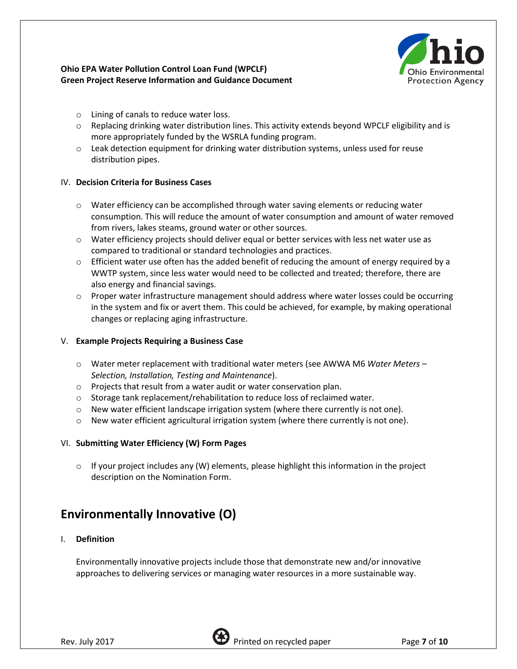

- o Lining of canals to reduce water loss.
- o Replacing drinking water distribution lines. This activity extends beyond WPCLF eligibility and is more appropriately funded by the WSRLA funding program.
- $\circ$  Leak detection equipment for drinking water distribution systems, unless used for reuse distribution pipes.

### IV. **Decision Criteria for Business Cases**

- $\circ$  Water efficiency can be accomplished through water saving elements or reducing water consumption. This will reduce the amount of water consumption and amount of water removed from rivers, lakes steams, ground water or other sources.
- $\circ$  Water efficiency projects should deliver equal or better services with less net water use as compared to traditional or standard technologies and practices.
- $\circ$  Efficient water use often has the added benefit of reducing the amount of energy required by a WWTP system, since less water would need to be collected and treated; therefore, there are also energy and financial savings.
- $\circ$  Proper water infrastructure management should address where water losses could be occurring in the system and fix or avert them. This could be achieved, for example, by making operational changes or replacing aging infrastructure.

## V. **Example Projects Requiring a Business Case**

- o Water meter replacement with traditional water meters (see AWWA M6 *Water Meters – Selection, Installation, Testing and Maintenance*).
- o Projects that result from a water audit or water conservation plan.
- $\circ$  Storage tank replacement/rehabilitation to reduce loss of reclaimed water.
- $\circ$  New water efficient landscape irrigation system (where there currently is not one).
- $\circ$  New water efficient agricultural irrigation system (where there currently is not one).

#### VI. **Submitting Water Efficiency (W) Form Pages**

 $\circ$  If your project includes any (W) elements, please highlight this information in the project description on the Nomination Form.

## **Environmentally Innovative (O)**

#### I. **Definition**

Environmentally innovative projects include those that demonstrate new and/or innovative approaches to delivering services or managing water resources in a more sustainable way.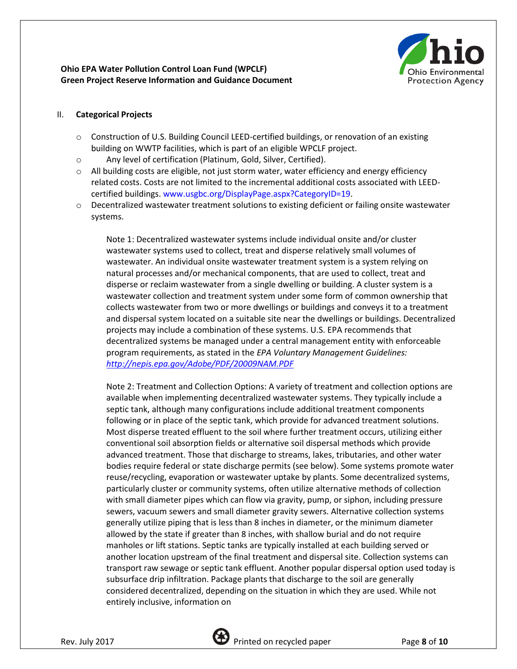

#### II. **Categorical Projects**

- $\circ$  Construction of U.S. Building Council LEED-certified buildings, or renovation of an existing building on WWTP facilities, which is part of an eligible WPCLF project.
- o Any level of certification (Platinum, Gold, Silver, Certified).
- $\circ$  All building costs are eligible, not just storm water, water efficiency and energy efficiency related costs. Costs are not limited to the incremental additional costs associated with LEEDcertified buildings. [www.usgbc.org/DisplayPage.aspx?CategoryID=19.](http://www.usgbc.org/DisplayPage.aspx?CategoryID=19)
- $\circ$  Decentralized wastewater treatment solutions to existing deficient or failing onsite wastewater systems.

Note 1: Decentralized wastewater systems include individual onsite and/or cluster wastewater systems used to collect, treat and disperse relatively small volumes of wastewater. An individual onsite wastewater treatment system is a system relying on natural processes and/or mechanical components, that are used to collect, treat and disperse or reclaim wastewater from a single dwelling or building. A cluster system is a wastewater collection and treatment system under some form of common ownership that collects wastewater from two or more dwellings or buildings and conveys it to a treatment and dispersal system located on a suitable site near the dwellings or buildings. Decentralized projects may include a combination of these systems. U.S. EPA recommends that decentralized systems be managed under a central management entity with enforceable program requirements, as stated in the *EPA Voluntary Management Guidelines: <http://nepis.epa.gov/Adobe/PDF/20009NAM.PDF>*

Note 2: Treatment and Collection Options: A variety of treatment and collection options are available when implementing decentralized wastewater systems. They typically include a septic tank, although many configurations include additional treatment components following or in place of the septic tank, which provide for advanced treatment solutions. Most disperse treated effluent to the soil where further treatment occurs, utilizing either conventional soil absorption fields or alternative soil dispersal methods which provide advanced treatment. Those that discharge to streams, lakes, tributaries, and other water bodies require federal or state discharge permits (see below). Some systems promote water reuse/recycling, evaporation or wastewater uptake by plants. Some decentralized systems, particularly cluster or community systems, often utilize alternative methods of collection with small diameter pipes which can flow via gravity, pump, or siphon, including pressure sewers, vacuum sewers and small diameter gravity sewers. Alternative collection systems generally utilize piping that is less than 8 inches in diameter, or the minimum diameter allowed by the state if greater than 8 inches, with shallow burial and do not require manholes or lift stations. Septic tanks are typically installed at each building served or another location upstream of the final treatment and dispersal site. Collection systems can transport raw sewage or septic tank effluent. Another popular dispersal option used today is subsurface drip infiltration. Package plants that discharge to the soil are generally considered decentralized, depending on the situation in which they are used. While not entirely inclusive, information on

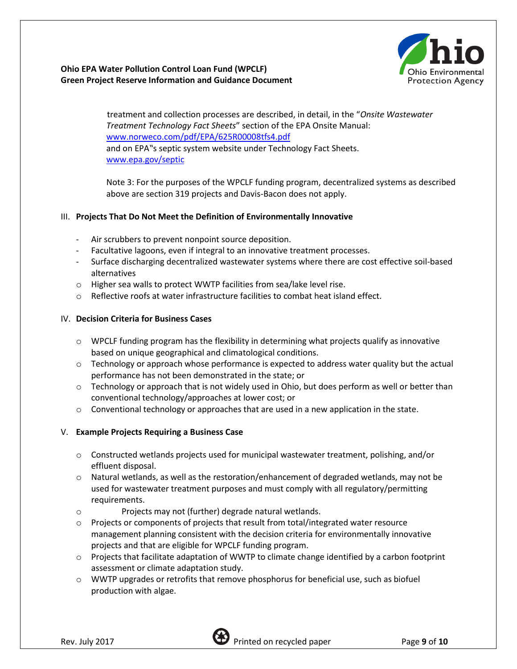

treatment and collection processes are described, in detail, in the "*Onsite Wastewater Treatment Technology Fact Sheets*" section of the EPA Onsite Manual: [www.norweco.com/pdf/EPA/625R00008tfs4.pdf](http://www.norweco.com/pdf/EPA/625R00008tfs4.pdf) and on EPA"s septic system website under Technology Fact Sheets. [www.epa.gov/septic](http://www.epa.gov/septic)

Note 3: For the purposes of the WPCLF funding program, decentralized systems as described above are section 319 projects and Davis-Bacon does not apply.

#### III. **Projects That Do Not Meet the Definition of Environmentally Innovative**

- Air scrubbers to prevent nonpoint source deposition.
- Facultative lagoons, even if integral to an innovative treatment processes.
- Surface discharging decentralized wastewater systems where there are cost effective soil-based alternatives
- o Higher sea walls to protect WWTP facilities from sea/lake level rise.
- $\circ$  Reflective roofs at water infrastructure facilities to combat heat island effect.

#### IV. **Decision Criteria for Business Cases**

- $\circ$  WPCLF funding program has the flexibility in determining what projects qualify as innovative based on unique geographical and climatological conditions.
- $\circ$  Technology or approach whose performance is expected to address water quality but the actual performance has not been demonstrated in the state; or
- $\circ$  Technology or approach that is not widely used in Ohio, but does perform as well or better than conventional technology/approaches at lower cost; or
- $\circ$  Conventional technology or approaches that are used in a new application in the state.

#### V. **Example Projects Requiring a Business Case**

- $\circ$  Constructed wetlands projects used for municipal wastewater treatment, polishing, and/or effluent disposal.
- $\circ$  Natural wetlands, as well as the restoration/enhancement of degraded wetlands, may not be used for wastewater treatment purposes and must comply with all regulatory/permitting requirements.
- o Projects may not (further) degrade natural wetlands.
- $\circ$  Projects or components of projects that result from total/integrated water resource management planning consistent with the decision criteria for environmentally innovative projects and that are eligible for WPCLF funding program.
- $\circ$  Projects that facilitate adaptation of WWTP to climate change identified by a carbon footprint assessment or climate adaptation study.
- $\circ$  WWTP upgrades or retrofits that remove phosphorus for beneficial use, such as biofuel production with algae.